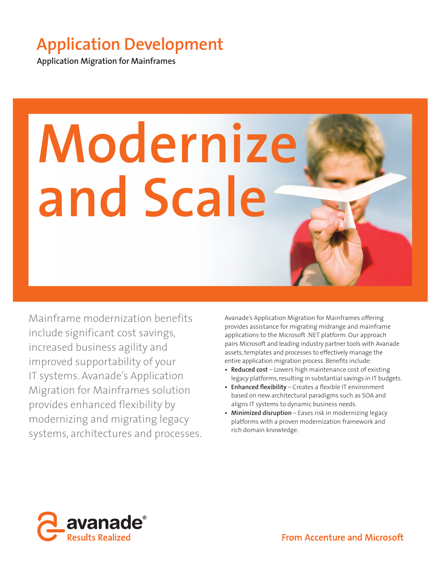# **Application Development**

**Application Migration for Mainframes**



Mainframe modernization benefits include significant cost savings, increased business agility and improved supportability of your IT systems. Avanade's Application Migration for Mainframes solution provides enhanced flexibility by modernizing and migrating legacy systems, architectures and processes.

Avanade's Application Migration for Mainframes offering provides assistance for migrating midrange and mainframe applications to the Microsoft .NET platform. Our approach pairs Microsoft and leading industry partner tools with Avanade assets, templates and processes to effectively manage the entire application migration process. Benefits include:

- **Reduced cost** Lowers high maintenance cost of existing legacy platforms, resulting in substantial savings in IT budgets.
- Enhanced flexibility Creates a flexible IT environment based on new architectural paradigms such as SOA and aligns IT systems to dynamic business needs.
- **Minimized disruption** Eases risk in modernizing legacy platforms with a proven modernization framework and rich domain knowledge.